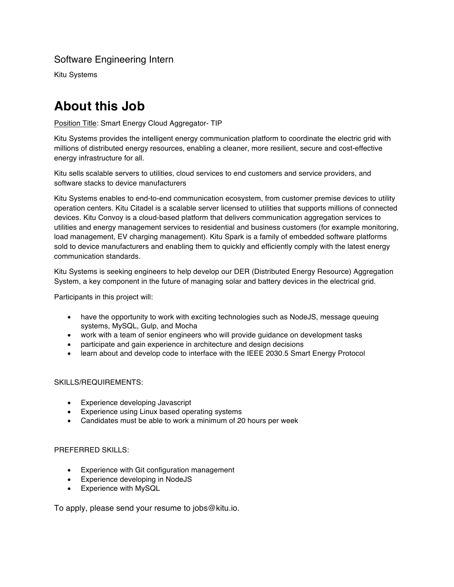## Software Engineering Intern

Kitu Systems

# **About this Job**

#### Position Title: Smart Energy Cloud Aggregator- TIP

Kitu Systems provides the intelligent energy communication platform to coordinate the electric grid with millions of distributed energy resources, enabling a cleaner, more resilient, secure and cost-effective energy infrastructure for all.

Kitu sells scalable servers to utilities, cloud services to end customers and service providers, and software stacks to device manufacturers

Kitu Systems enables to end-to-end communication ecosystem, from customer premise devices to utility operation centers. Kitu Citadel is a scalable server licensed to utilities that supports millions of connected devices. Kitu Convoy is a cloud-based platform that delivers communication aggregation services to utilities and energy management services to residential and business customers (for example monitoring, load management, EV charging management). Kitu Spark is a family of embedded software platforms sold to device manufacturers and enabling them to quickly and efficiently comply with the latest energy communication standards.

Kitu Systems is seeking engineers to help develop our DER (Distributed Energy Resource) Aggregation System, a key component in the future of managing solar and battery devices in the electrical grid.

Participants in this project will:

- have the opportunity to work with exciting technologies such as NodeJS, message queuing systems, MySQL, Gulp, and Mocha
- work with a team of senior engineers who will provide guidance on development tasks
- participate and gain experience in architecture and design decisions
- learn about and develop code to interface with the IEEE 2030.5 Smart Energy Protocol

#### SKILLS/REQUIREMENTS:

- Experience developing Javascript
- Experience using Linux based operating systems
- Candidates must be able to work a minimum of 20 hours per week

#### PREFERRED SKILLS:

- Experience with Git configuration management
- Experience developing in NodeJS
- Experience with MySQL

To apply, please send your resume to jobs@kitu.io.